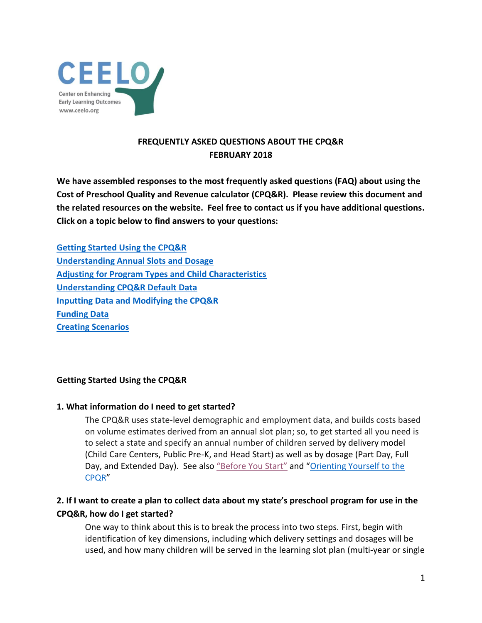

## **FREQUENTLY ASKED QUESTIONS ABOUT THE CPQ&R FEBRUARY 2018**

**We have assembled responses to the most frequently asked questions (FAQ) about using the Cost of Preschool Quality and Revenue calculator (CPQ&R). Please review this document and the related resources on the website. Feel free to contact us if you have additional questions. Click on a topic below to find answers to your questions:**

**[Getting Started Using the CPQ&R](#page-0-0) [Understanding Annual Slots and Dosage](#page-1-0) [Adjusting for Program Types and Child Characteristics](#page-2-0) [Understanding CPQ&R Default Data](#page-3-0) [Inputting Data and Modifying the CPQ&R](#page-5-0) [Funding Data](#page-7-0) [Creating Scenarios](#page-7-1)**

## <span id="page-0-0"></span>**Getting Started Using the CPQ&R**

### **1. What information do I need to get started?**

The CPQ&R uses state-level demographic and employment data, and builds costs based on volume estimates derived from an annual slot plan; so, to get started all you need is to select a state and specify an annual number of children served by delivery model (Child Care Centers, Public Pre-K, and Head Start) as well as by dosage (Part Day, Full Day, and Extended Day). See also ["Before You Start"](http://ceelo.org/wp-content/uploads/2018/02/CPQR_Before_You_Start_2.12.18.pdf) and "Orienting Yourself to the [CPQR](http://ceelo.org/wp-content/uploads/2018/02/CPQR_Orienting_Yourself_to_CPQR_2.12.18-.pdf)"

## **2. If I want to create a plan to collect data about my state's preschool program for use in the CPQ&R, how do I get started?**

One way to think about this is to break the process into two steps. First, begin with identification of key dimensions, including which delivery settings and dosages will be used, and how many children will be served in the learning slot plan (multi-year or single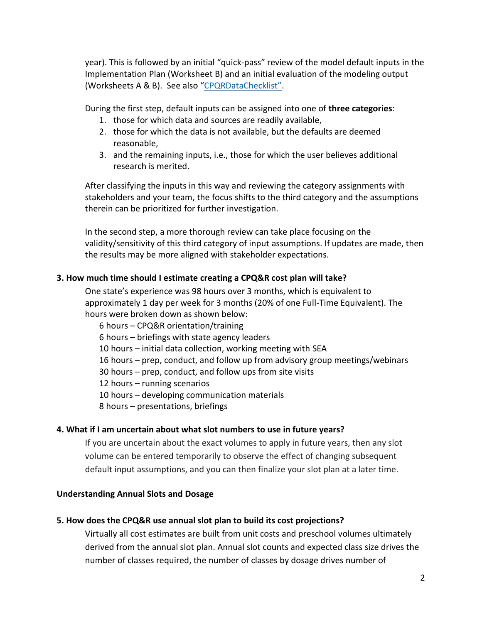year). This is followed by an initial "quick-pass" review of the model default inputs in the Implementation Plan (Worksheet B) and an initial evaluation of the modeling output (Worksheets A & B). See also ["CPQRDataChecklist"](http://ceelo.org/wp-content/uploads/2018/02/CPQR_Data_Checklist_2.12.18.docx).

During the first step, default inputs can be assigned into one of **three categories**:

- 1. those for which data and sources are readily available,
- 2. those for which the data is not available, but the defaults are deemed reasonable,
- 3. and the remaining inputs, i.e., those for which the user believes additional research is merited.

After classifying the inputs in this way and reviewing the category assignments with stakeholders and your team, the focus shifts to the third category and the assumptions therein can be prioritized for further investigation.

In the second step, a more thorough review can take place focusing on the validity/sensitivity of this third category of input assumptions. If updates are made, then the results may be more aligned with stakeholder expectations.

### **3. How much time should I estimate creating a CPQ&R cost plan will take?**

One state's experience was 98 hours over 3 months, which is equivalent to approximately 1 day per week for 3 months (20% of one Full-Time Equivalent). The hours were broken down as shown below:

6 hours – CPQ&R orientation/training

6 hours – briefings with state agency leaders

10 hours – initial data collection, working meeting with SEA

16 hours – prep, conduct, and follow up from advisory group meetings/webinars

30 hours – prep, conduct, and follow ups from site visits

12 hours – running scenarios

10 hours – developing communication materials

8 hours – presentations, briefings

### **4. What if I am uncertain about what slot numbers to use in future years?**

If you are uncertain about the exact volumes to apply in future years, then any slot volume can be entered temporarily to observe the effect of changing subsequent default input assumptions, and you can then finalize your slot plan at a later time.

### <span id="page-1-0"></span>**Understanding Annual Slots and Dosage**

### **5. How does the CPQ&R use annual slot plan to build its cost projections?**

Virtually all cost estimates are built from unit costs and preschool volumes ultimately derived from the annual slot plan. Annual slot counts and expected class size drives the number of classes required, the number of classes by dosage drives number of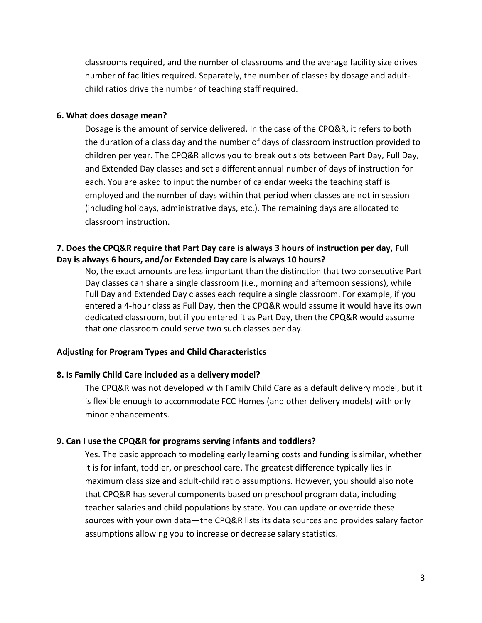classrooms required, and the number of classrooms and the average facility size drives number of facilities required. Separately, the number of classes by dosage and adultchild ratios drive the number of teaching staff required.

#### **6. What does dosage mean?**

Dosage is the amount of service delivered. In the case of the CPQ&R, it refers to both the duration of a class day and the number of days of classroom instruction provided to children per year. The CPQ&R allows you to break out slots between Part Day, Full Day, and Extended Day classes and set a different annual number of days of instruction for each. You are asked to input the number of calendar weeks the teaching staff is employed and the number of days within that period when classes are not in session (including holidays, administrative days, etc.). The remaining days are allocated to classroom instruction.

### **7. Does the CPQ&R require that Part Day care is always 3 hours of instruction per day, Full Day is always 6 hours, and/or Extended Day care is always 10 hours?**

No, the exact amounts are less important than the distinction that two consecutive Part Day classes can share a single classroom (i.e., morning and afternoon sessions), while Full Day and Extended Day classes each require a single classroom. For example, if you entered a 4-hour class as Full Day, then the CPQ&R would assume it would have its own dedicated classroom, but if you entered it as Part Day, then the CPQ&R would assume that one classroom could serve two such classes per day.

### <span id="page-2-0"></span>**Adjusting for Program Types and Child Characteristics**

### **8. Is Family Child Care included as a delivery model?**

The CPQ&R was not developed with Family Child Care as a default delivery model, but it is flexible enough to accommodate FCC Homes (and other delivery models) with only minor enhancements.

### **9. Can I use the CPQ&R for programs serving infants and toddlers?**

Yes. The basic approach to modeling early learning costs and funding is similar, whether it is for infant, toddler, or preschool care. The greatest difference typically lies in maximum class size and adult-child ratio assumptions. However, you should also note that CPQ&R has several components based on preschool program data, including teacher salaries and child populations by state. You can update or override these sources with your own data—the CPQ&R lists its data sources and provides salary factor assumptions allowing you to increase or decrease salary statistics.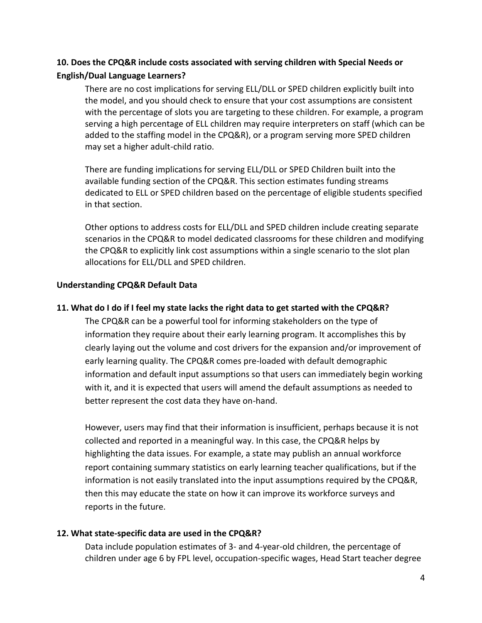# **10. Does the CPQ&R include costs associated with serving children with Special Needs or English/Dual Language Learners?**

There are no cost implications for serving ELL/DLL or SPED children explicitly built into the model, and you should check to ensure that your cost assumptions are consistent with the percentage of slots you are targeting to these children. For example, a program serving a high percentage of ELL children may require interpreters on staff (which can be added to the staffing model in the CPQ&R), or a program serving more SPED children may set a higher adult-child ratio.

There are funding implications for serving ELL/DLL or SPED Children built into the available funding section of the CPQ&R. This section estimates funding streams dedicated to ELL or SPED children based on the percentage of eligible students specified in that section.

Other options to address costs for ELL/DLL and SPED children include creating separate scenarios in the CPQ&R to model dedicated classrooms for these children and modifying the CPQ&R to explicitly link cost assumptions within a single scenario to the slot plan allocations for ELL/DLL and SPED children.

## <span id="page-3-0"></span>**Understanding CPQ&R Default Data**

## **11. What do I do if I feel my state lacks the right data to get started with the CPQ&R?**

The CPQ&R can be a powerful tool for informing stakeholders on the type of information they require about their early learning program. It accomplishes this by clearly laying out the volume and cost drivers for the expansion and/or improvement of early learning quality. The CPQ&R comes pre-loaded with default demographic information and default input assumptions so that users can immediately begin working with it, and it is expected that users will amend the default assumptions as needed to better represent the cost data they have on-hand.

However, users may find that their information is insufficient, perhaps because it is not collected and reported in a meaningful way. In this case, the CPQ&R helps by highlighting the data issues. For example, a state may publish an annual workforce report containing summary statistics on early learning teacher qualifications, but if the information is not easily translated into the input assumptions required by the CPQ&R, then this may educate the state on how it can improve its workforce surveys and reports in the future.

## **12. What state-specific data are used in the CPQ&R?**

Data include population estimates of 3- and 4-year-old children, the percentage of children under age 6 by FPL level, occupation-specific wages, Head Start teacher degree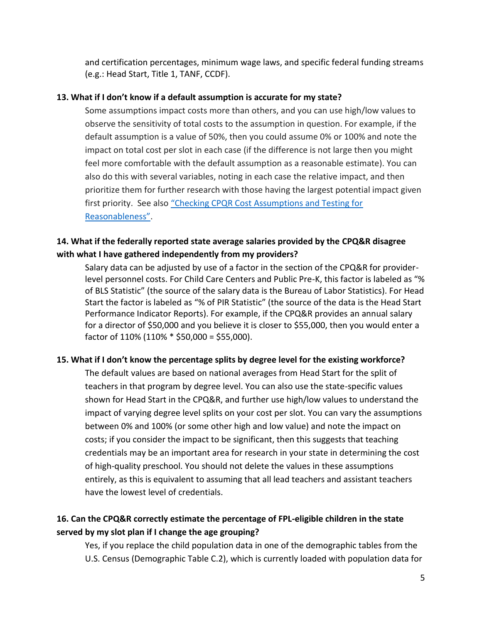and certification percentages, minimum wage laws, and specific federal funding streams (e.g.: Head Start, Title 1, TANF, CCDF).

### **13. What if I don't know if a default assumption is accurate for my state?**

Some assumptions impact costs more than others, and you can use high/low values to observe the sensitivity of total costs to the assumption in question. For example, if the default assumption is a value of 50%, then you could assume 0% or 100% and note the impact on total cost per slot in each case (if the difference is not large then you might feel more comfortable with the default assumption as a reasonable estimate). You can also do this with several variables, noting in each case the relative impact, and then prioritize them for further research with those having the largest potential impact given first priority. See also ["Checking CPQR Cost Assumptions and Testing for](http://ceelo.org/wp-content/uploads/2018/02/CPQR_Checking_Assumptions_and_Cost_Projections_2.12.18.pdf)  [Reasonableness"](http://ceelo.org/wp-content/uploads/2018/02/CPQR_Checking_Assumptions_and_Cost_Projections_2.12.18.pdf).

## **14. What if the federally reported state average salaries provided by the CPQ&R disagree with what I have gathered independently from my providers?**

Salary data can be adjusted by use of a factor in the section of the CPQ&R for providerlevel personnel costs. For Child Care Centers and Public Pre-K, this factor is labeled as "% of BLS Statistic" (the source of the salary data is the Bureau of Labor Statistics). For Head Start the factor is labeled as "% of PIR Statistic" (the source of the data is the Head Start Performance Indicator Reports). For example, if the CPQ&R provides an annual salary for a director of \$50,000 and you believe it is closer to \$55,000, then you would enter a factor of 110% (110% \* \$50,000 = \$55,000).

### **15. What if I don't know the percentage splits by degree level for the existing workforce?**

The default values are based on national averages from Head Start for the split of teachers in that program by degree level. You can also use the state-specific values shown for Head Start in the CPQ&R, and further use high/low values to understand the impact of varying degree level splits on your cost per slot. You can vary the assumptions between 0% and 100% (or some other high and low value) and note the impact on costs; if you consider the impact to be significant, then this suggests that teaching credentials may be an important area for research in your state in determining the cost of high-quality preschool. You should not delete the values in these assumptions entirely, as this is equivalent to assuming that all lead teachers and assistant teachers have the lowest level of credentials.

# **16. Can the CPQ&R correctly estimate the percentage of FPL-eligible children in the state served by my slot plan if I change the age grouping?**

Yes, if you replace the child population data in one of the demographic tables from the U.S. Census (Demographic Table C.2), which is currently loaded with population data for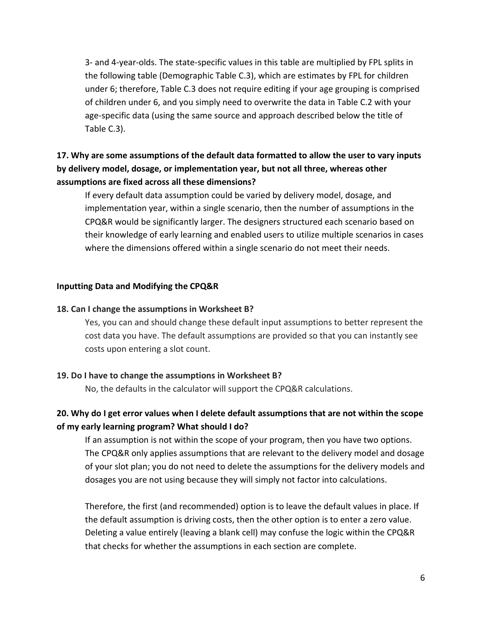3- and 4-year-olds. The state-specific values in this table are multiplied by FPL splits in the following table (Demographic Table C.3), which are estimates by FPL for children under 6; therefore, Table C.3 does not require editing if your age grouping is comprised of children under 6, and you simply need to overwrite the data in Table C.2 with your age-specific data (using the same source and approach described below the title of Table C.3).

# **17. Why are some assumptions of the default data formatted to allow the user to vary inputs by delivery model, dosage, or implementation year, but not all three, whereas other assumptions are fixed across all these dimensions?**

If every default data assumption could be varied by delivery model, dosage, and implementation year, within a single scenario, then the number of assumptions in the CPQ&R would be significantly larger. The designers structured each scenario based on their knowledge of early learning and enabled users to utilize multiple scenarios in cases where the dimensions offered within a single scenario do not meet their needs.

### <span id="page-5-0"></span>**Inputting Data and Modifying the CPQ&R**

### **18. Can I change the assumptions in Worksheet B?**

Yes, you can and should change these default input assumptions to better represent the cost data you have. The default assumptions are provided so that you can instantly see costs upon entering a slot count.

### **19. Do I have to change the assumptions in Worksheet B?**

No, the defaults in the calculator will support the CPQ&R calculations.

# **20. Why do I get error values when I delete default assumptions that are not within the scope of my early learning program? What should I do?**

If an assumption is not within the scope of your program, then you have two options. The CPQ&R only applies assumptions that are relevant to the delivery model and dosage of your slot plan; you do not need to delete the assumptions for the delivery models and dosages you are not using because they will simply not factor into calculations.

Therefore, the first (and recommended) option is to leave the default values in place. If the default assumption is driving costs, then the other option is to enter a zero value. Deleting a value entirely (leaving a blank cell) may confuse the logic within the CPQ&R that checks for whether the assumptions in each section are complete.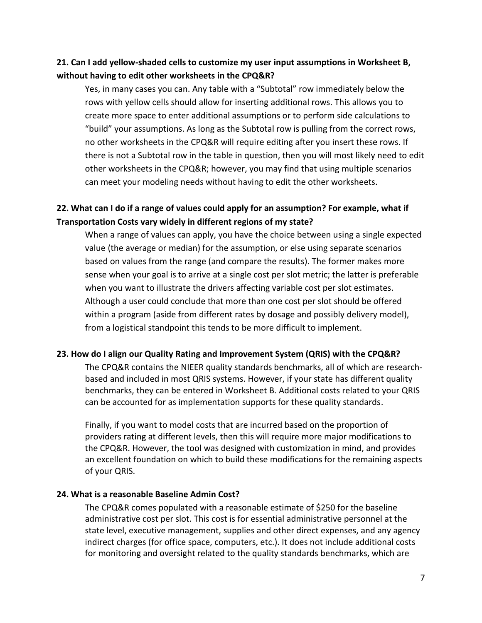# **21. Can I add yellow-shaded cells to customize my user input assumptions in Worksheet B, without having to edit other worksheets in the CPQ&R?**

Yes, in many cases you can. Any table with a "Subtotal" row immediately below the rows with yellow cells should allow for inserting additional rows. This allows you to create more space to enter additional assumptions or to perform side calculations to "build" your assumptions. As long as the Subtotal row is pulling from the correct rows, no other worksheets in the CPQ&R will require editing after you insert these rows. If there is not a Subtotal row in the table in question, then you will most likely need to edit other worksheets in the CPQ&R; however, you may find that using multiple scenarios can meet your modeling needs without having to edit the other worksheets.

## **22. What can I do if a range of values could apply for an assumption? For example, what if Transportation Costs vary widely in different regions of my state?**

When a range of values can apply, you have the choice between using a single expected value (the average or median) for the assumption, or else using separate scenarios based on values from the range (and compare the results). The former makes more sense when your goal is to arrive at a single cost per slot metric; the latter is preferable when you want to illustrate the drivers affecting variable cost per slot estimates. Although a user could conclude that more than one cost per slot should be offered within a program (aside from different rates by dosage and possibly delivery model), from a logistical standpoint this tends to be more difficult to implement.

### **23. How do I align our Quality Rating and Improvement System (QRIS) with the CPQ&R?**

The CPQ&R contains the NIEER quality standards benchmarks, all of which are researchbased and included in most QRIS systems. However, if your state has different quality benchmarks, they can be entered in Worksheet B. Additional costs related to your QRIS can be accounted for as implementation supports for these quality standards.

Finally, if you want to model costs that are incurred based on the proportion of providers rating at different levels, then this will require more major modifications to the CPQ&R. However, the tool was designed with customization in mind, and provides an excellent foundation on which to build these modifications for the remaining aspects of your QRIS.

### **24. What is a reasonable Baseline Admin Cost?**

The CPQ&R comes populated with a reasonable estimate of \$250 for the baseline administrative cost per slot. This cost is for essential administrative personnel at the state level, executive management, supplies and other direct expenses, and any agency indirect charges (for office space, computers, etc.). It does not include additional costs for monitoring and oversight related to the quality standards benchmarks, which are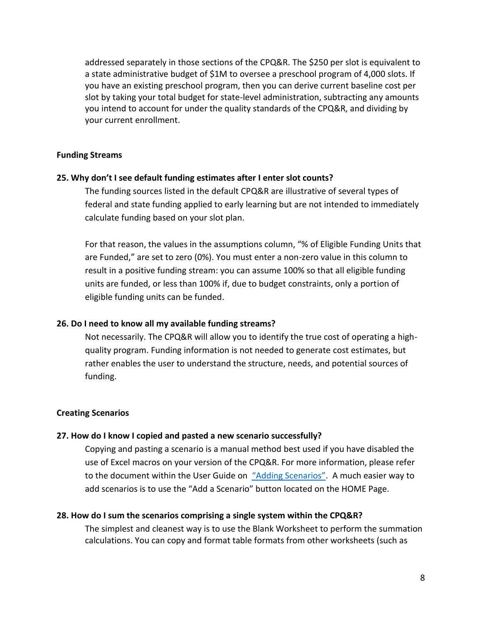addressed separately in those sections of the CPQ&R. The \$250 per slot is equivalent to a state administrative budget of \$1M to oversee a preschool program of 4,000 slots. If you have an existing preschool program, then you can derive current baseline cost per slot by taking your total budget for state-level administration, subtracting any amounts you intend to account for under the quality standards of the CPQ&R, and dividing by your current enrollment.

#### <span id="page-7-0"></span>**Funding Streams**

#### **25. Why don't I see default funding estimates after I enter slot counts?**

The funding sources listed in the default CPQ&R are illustrative of several types of federal and state funding applied to early learning but are not intended to immediately calculate funding based on your slot plan.

For that reason, the values in the assumptions column, "% of Eligible Funding Units that are Funded," are set to zero (0%). You must enter a non-zero value in this column to result in a positive funding stream: you can assume 100% so that all eligible funding units are funded, or less than 100% if, due to budget constraints, only a portion of eligible funding units can be funded.

#### **26. Do I need to know all my available funding streams?**

Not necessarily. The CPQ&R will allow you to identify the true cost of operating a highquality program. Funding information is not needed to generate cost estimates, but rather enables the user to understand the structure, needs, and potential sources of funding.

### <span id="page-7-1"></span>**Creating Scenarios**

#### **27. How do I know I copied and pasted a new scenario successfully?**

Copying and pasting a scenario is a manual method best used if you have disabled the use of Excel macros on your version of the CPQ&R. For more information, please refer to the document within the User Guide on ["Adding Scenarios"](http://ceelo.org/wp-content/uploads/2018/02/CPQR_Annual_Slots_2.12.18.pdf). A much easier way to add scenarios is to use the "Add a Scenario" button located on the HOME Page.

#### **28. How do I sum the scenarios comprising a single system within the CPQ&R?**

The simplest and cleanest way is to use the Blank Worksheet to perform the summation calculations. You can copy and format table formats from other worksheets (such as